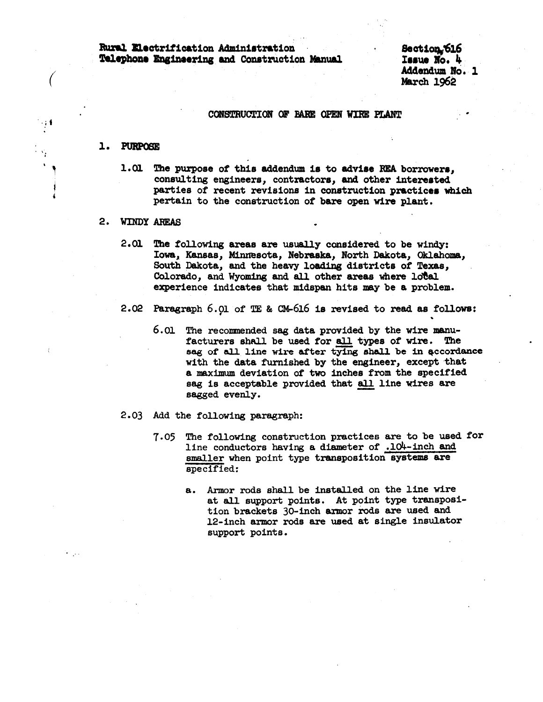Rural Electrification Administration . Rural Electrification Administration<br>Telephone Engineering and Construction Manual Section Seaue No. 4

Addendum No. 1 March 1962

..

## CONSTRUCTION OF BARE OPEN WIRE PLANT

#### 1. PURPOSE

 $\big($ 

' I

*i* 

1.01 The purpose of this addendum is to advise REA borrowers. consulting engineers, contractors, and other interested parties of recent revisions in construction practices which pertain to the construction of bare open wire plant.

#### 2. WINDY AREAS

- 2. 01 The following areas are usually considered to be windy: Iowa, Kansas, Minnesota, Nebraska, North Dakota, Oklahoma, South Dakota, and the heavy loading districts of Texas, Colorado, and Wyoming and all other areas where local experience indicates that midspan bits may be a problem.
- 2. 02 Paragraph 6. 01 of TE & CM-616 is revised to read as follows:
	- 6.01 The recommended sag data provided by the wire manufacturers shall be used for all types of wire. The sag of all line wire after tying shall be in accordance with the data furnished by the engineer, except that a maximum deviation of two inches from the specified sag is acceptable provided that all line wires are sagged evenly.
- 2.03 Add the following paragraph:
	- 7.05 The following construction practices are to be used tor line conductors having a diameter of .104-inch and smaller when point type transposition systems are specified:
		- a. Armor rods shall be installed on the line wire at all support points. At point type transposition brackets 30-inch armor rods are used and 12-inch armor rods are used at single insulator support points.